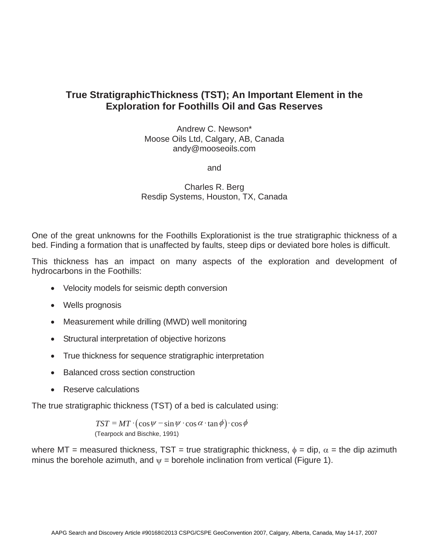## **True StratigraphicThickness (TST); An Important Element in the Exploration for Foothills Oil and Gas Reserves**

Andrew C. Newson\* Moose Oils Ltd, Calgary, AB, Canada andy@mooseoils.com

and

## Charles R. Berg Resdip Systems, Houston, TX, Canada

One of the great unknowns for the Foothills Explorationist is the true stratigraphic thickness of a bed. Finding a formation that is unaffected by faults, steep dips or deviated bore holes is difficult.

This thickness has an impact on many aspects of the exploration and development of hydrocarbons in the Foothills:

- Velocity models for seismic depth conversion
- Wells prognosis
- Measurement while drilling (MWD) well monitoring
- Structural interpretation of objective horizons
- True thickness for sequence stratigraphic interpretation
- Balanced cross section construction
- Reserve calculations

The true stratigraphic thickness (TST) of a bed is calculated using:

 $TST = MT \cdot (\cos \psi - \sin \psi \cdot \cos \alpha \cdot \tan \phi) \cdot \cos \phi$ (Tearpock and Bischke, 1991)

where MT = measured thickness, TST = true stratigraphic thickness,  $\phi$  = dip,  $\alpha$  = the dip azimuth minus the borehole azimuth, and  $\psi$  = borehole inclination from vertical (Figure 1).